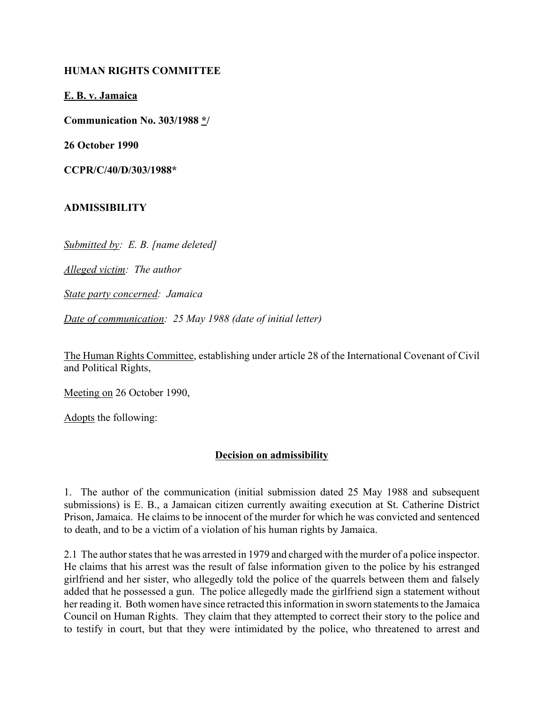## **HUMAN RIGHTS COMMITTEE**

**E. B. v. Jamaica**

**Communication No. 303/1988 \*/**

**26 October 1990**

**CCPR/C/40/D/303/1988\***

## **ADMISSIBILITY**

*Submitted by: E. B. [name deleted]*

*Alleged victim: The author*

*State party concerned: Jamaica*

*Date of communication: 25 May 1988 (date of initial letter)*

The Human Rights Committee, establishing under article 28 of the International Covenant of Civil and Political Rights,

Meeting on 26 October 1990,

Adopts the following:

## **Decision on admissibility**

1. The author of the communication (initial submission dated 25 May 1988 and subsequent submissions) is E. B., a Jamaican citizen currently awaiting execution at St. Catherine District Prison, Jamaica. He claims to be innocent of the murder for which he was convicted and sentenced to death, and to be a victim of a violation of his human rights by Jamaica.

2.1 The author states that he was arrested in 1979 and charged with the murder of a police inspector. He claims that his arrest was the result of false information given to the police by his estranged girlfriend and her sister, who allegedly told the police of the quarrels between them and falsely added that he possessed a gun. The police allegedly made the girlfriend sign a statement without her reading it. Both women have since retracted this information in sworn statements to the Jamaica Council on Human Rights. They claim that they attempted to correct their story to the police and to testify in court, but that they were intimidated by the police, who threatened to arrest and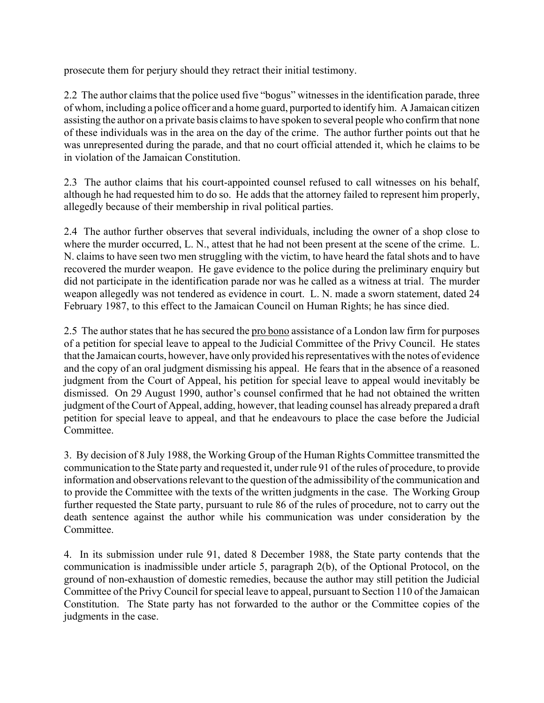prosecute them for perjury should they retract their initial testimony.

2.2 The author claims that the police used five "bogus" witnesses in the identification parade, three of whom, including a police officer and a home guard, purported to identify him. A Jamaican citizen assisting the author on a private basis claims to have spoken to several people who confirm that none of these individuals was in the area on the day of the crime. The author further points out that he was unrepresented during the parade, and that no court official attended it, which he claims to be in violation of the Jamaican Constitution.

2.3 The author claims that his court-appointed counsel refused to call witnesses on his behalf, although he had requested him to do so. He adds that the attorney failed to represent him properly, allegedly because of their membership in rival political parties.

2.4 The author further observes that several individuals, including the owner of a shop close to where the murder occurred, L. N., attest that he had not been present at the scene of the crime. L. N. claims to have seen two men struggling with the victim, to have heard the fatal shots and to have recovered the murder weapon. He gave evidence to the police during the preliminary enquiry but did not participate in the identification parade nor was he called as a witness at trial. The murder weapon allegedly was not tendered as evidence in court. L. N. made a sworn statement, dated 24 February 1987, to this effect to the Jamaican Council on Human Rights; he has since died.

2.5 The author states that he has secured the pro bono assistance of a London law firm for purposes of a petition for special leave to appeal to the Judicial Committee of the Privy Council. He states that the Jamaican courts, however, have only provided his representatives with the notes of evidence and the copy of an oral judgment dismissing his appeal. He fears that in the absence of a reasoned judgment from the Court of Appeal, his petition for special leave to appeal would inevitably be dismissed. On 29 August 1990, author's counsel confirmed that he had not obtained the written judgment of the Court of Appeal, adding, however, that leading counsel has already prepared a draft petition for special leave to appeal, and that he endeavours to place the case before the Judicial Committee.

3. By decision of 8 July 1988, the Working Group of the Human Rights Committee transmitted the communication to the State party and requested it, under rule 91 of the rules of procedure, to provide information and observations relevant to the question of the admissibility of the communication and to provide the Committee with the texts of the written judgments in the case. The Working Group further requested the State party, pursuant to rule 86 of the rules of procedure, not to carry out the death sentence against the author while his communication was under consideration by the Committee.

4. In its submission under rule 91, dated 8 December 1988, the State party contends that the communication is inadmissible under article 5, paragraph 2(b), of the Optional Protocol, on the ground of non-exhaustion of domestic remedies, because the author may still petition the Judicial Committee of the Privy Council for special leave to appeal, pursuant to Section 110 of the Jamaican Constitution. The State party has not forwarded to the author or the Committee copies of the judgments in the case.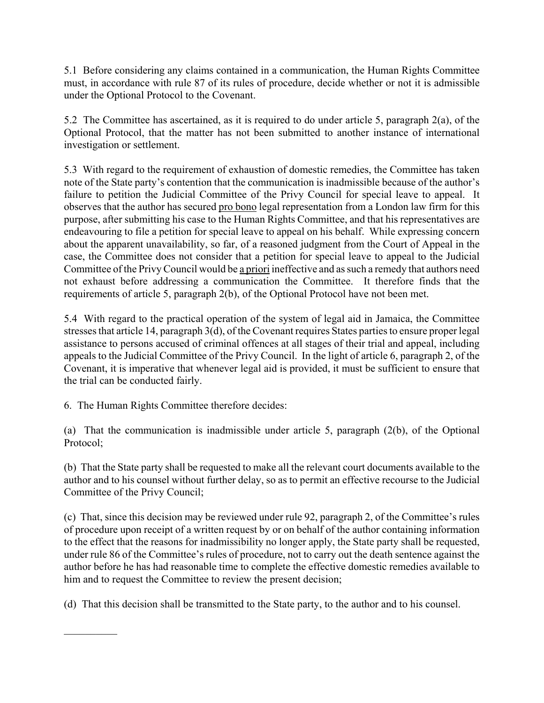5.1 Before considering any claims contained in a communication, the Human Rights Committee must, in accordance with rule 87 of its rules of procedure, decide whether or not it is admissible under the Optional Protocol to the Covenant.

5.2 The Committee has ascertained, as it is required to do under article 5, paragraph 2(a), of the Optional Protocol, that the matter has not been submitted to another instance of international investigation or settlement.

5.3 With regard to the requirement of exhaustion of domestic remedies, the Committee has taken note of the State party's contention that the communication is inadmissible because of the author's failure to petition the Judicial Committee of the Privy Council for special leave to appeal. It observes that the author has secured pro bono legal representation from a London law firm for this purpose, after submitting his case to the Human Rights Committee, and that his representatives are endeavouring to file a petition for special leave to appeal on his behalf. While expressing concern about the apparent unavailability, so far, of a reasoned judgment from the Court of Appeal in the case, the Committee does not consider that a petition for special leave to appeal to the Judicial Committee of the Privy Council would be a priori ineffective and as such a remedy that authors need not exhaust before addressing a communication the Committee. It therefore finds that the requirements of article 5, paragraph 2(b), of the Optional Protocol have not been met.

5.4 With regard to the practical operation of the system of legal aid in Jamaica, the Committee stresses that article 14, paragraph 3(d), of the Covenant requires States parties to ensure proper legal assistance to persons accused of criminal offences at all stages of their trial and appeal, including appeals to the Judicial Committee of the Privy Council. In the light of article 6, paragraph 2, of the Covenant, it is imperative that whenever legal aid is provided, it must be sufficient to ensure that the trial can be conducted fairly.

6. The Human Rights Committee therefore decides:

 $\mathcal{L}_\text{max}$ 

(a) That the communication is inadmissible under article 5, paragraph (2(b), of the Optional Protocol;

(b) That the State party shall be requested to make all the relevant court documents available to the author and to his counsel without further delay, so as to permit an effective recourse to the Judicial Committee of the Privy Council;

(c) That, since this decision may be reviewed under rule 92, paragraph 2, of the Committee's rules of procedure upon receipt of a written request by or on behalf of the author containing information to the effect that the reasons for inadmissibility no longer apply, the State party shall be requested, under rule 86 of the Committee's rules of procedure, not to carry out the death sentence against the author before he has had reasonable time to complete the effective domestic remedies available to him and to request the Committee to review the present decision;

(d) That this decision shall be transmitted to the State party, to the author and to his counsel.